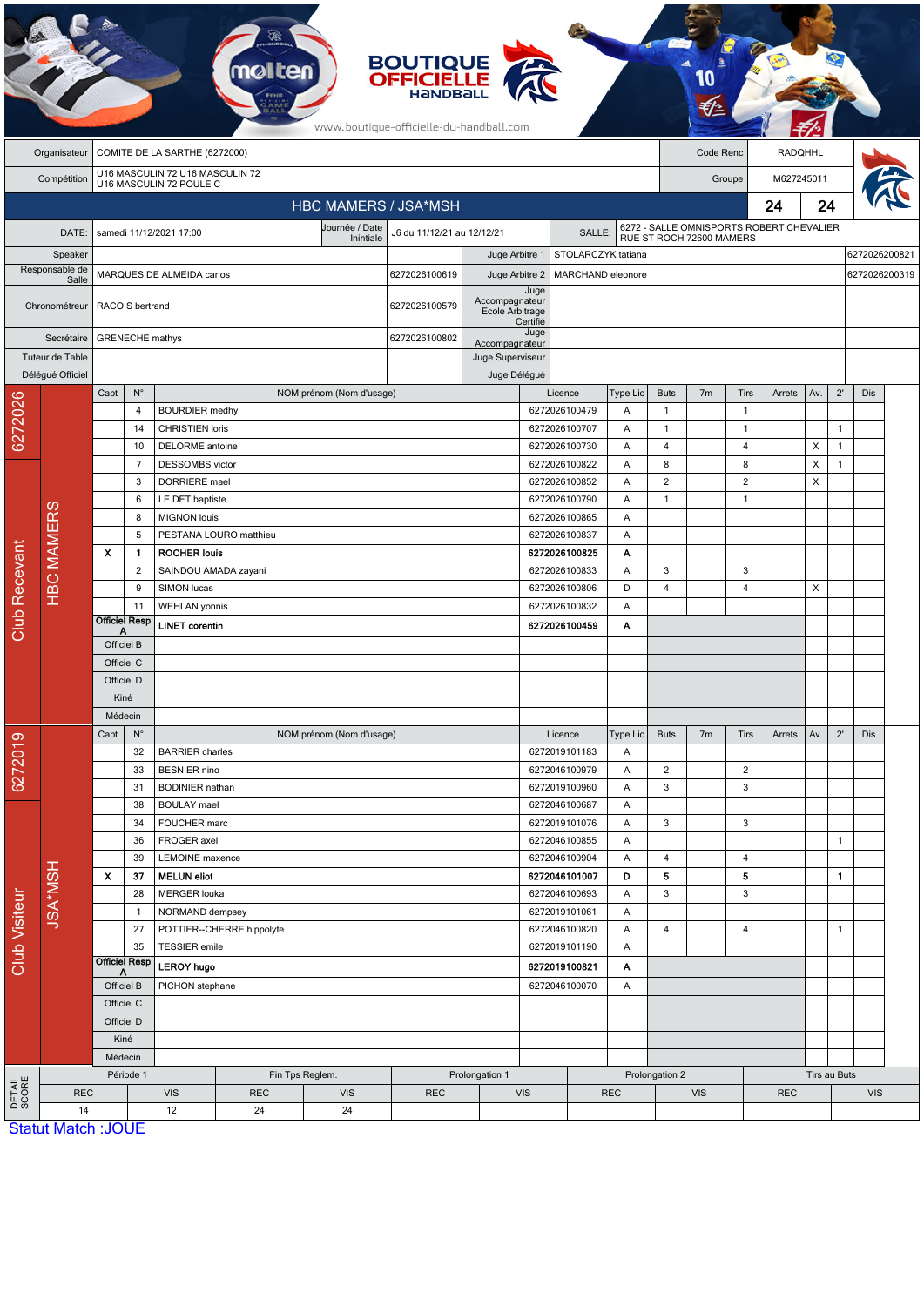|                                                        |                                 |                                                        |                                 |                                                 |                           |                          | <b>BOUTIQUE</b><br><b>OFFICIELLE</b><br>HANDBALL<br>www.boutique-officielle-du-handball.com |                                   |                                |                                |                |                                                                      |                      |                                |                |              |               |               |  |
|--------------------------------------------------------|---------------------------------|--------------------------------------------------------|---------------------------------|-------------------------------------------------|---------------------------|--------------------------|---------------------------------------------------------------------------------------------|-----------------------------------|--------------------------------|--------------------------------|----------------|----------------------------------------------------------------------|----------------------|--------------------------------|----------------|--------------|---------------|---------------|--|
|                                                        | Organisateur                    |                                                        |                                 | COMITE DE LA SARTHE (6272000)                   |                           |                          |                                                                                             |                                   |                                |                                |                |                                                                      | Code Renc            |                                | <b>RADQHHL</b> |              |               |               |  |
|                                                        | Compétition                     |                                                        | U16 MASCULIN 72 U16 MASCULIN 72 |                                                 |                           |                          |                                                                                             |                                   |                                |                                |                |                                                                      | M627245011<br>Groupe |                                |                |              |               |               |  |
| U16 MASCULIN 72 POULE C<br><b>HBC MAMERS / JSA*MSH</b> |                                 |                                                        |                                 |                                                 |                           |                          |                                                                                             |                                   |                                |                                |                |                                                                      |                      |                                | 24             | 24           |               |               |  |
|                                                        |                                 |                                                        |                                 |                                                 |                           | Journée / Date           |                                                                                             |                                   |                                |                                |                |                                                                      |                      |                                |                |              |               |               |  |
|                                                        | DATE:                           |                                                        |                                 | samedi 11/12/2021 17:00                         |                           | Inintiale                | J6 du 11/12/21 au 12/12/21                                                                  |                                   |                                | SALLE:                         |                | 6272 - SALLE OMNISPORTS ROBERT CHEVALIER<br>RUE ST ROCH 72600 MAMERS |                      |                                |                |              |               |               |  |
| Speaker                                                |                                 |                                                        |                                 |                                                 |                           |                          |                                                                                             | Juge Arbitre 1                    |                                | STOLARCZYK tatiana             |                |                                                                      |                      |                                |                |              |               | 6272026200821 |  |
| Responsable de<br>Salle                                |                                 | MARQUES DE ALMEIDA carlos                              |                                 |                                                 |                           |                          | 6272026100619                                                                               | Juge Arbitre 2                    | MARCHAND eleonore              |                                |                |                                                                      |                      |                                |                |              | 6272026200319 |               |  |
|                                                        | Chronométreur                   | RACOIS bertrand                                        |                                 |                                                 |                           |                          | 6272026100579                                                                               | Accompagnateur<br>Ecole Arbitrage | Juge<br>Certifié               |                                |                |                                                                      |                      |                                |                |              |               |               |  |
|                                                        | Secrétaire                      |                                                        |                                 | <b>GRENECHE</b> mathys                          |                           |                          | 6272026100802                                                                               | Juge<br>Accompagnateur            |                                |                                |                |                                                                      |                      |                                |                |              |               |               |  |
|                                                        | Tuteur de Table                 |                                                        |                                 |                                                 |                           |                          |                                                                                             |                                   | Juge Superviseur               |                                |                |                                                                      |                      |                                |                |              |               |               |  |
|                                                        | Délégué Officiel                |                                                        |                                 |                                                 |                           |                          |                                                                                             | Juge Délégué                      |                                |                                |                |                                                                      |                      |                                |                |              |               |               |  |
|                                                        |                                 | Capt                                                   | $N^{\circ}$                     |                                                 |                           | NOM prénom (Nom d'usage) |                                                                                             |                                   |                                | Licence                        | Type Lic       | <b>Buts</b>                                                          | 7 <sub>m</sub>       | Tirs                           | Arrets         | Av.          | $2^{\prime}$  | Dis           |  |
| 6272026                                                |                                 |                                                        | $\overline{4}$<br>14            | <b>BOURDIER</b> medhy<br><b>CHRISTIEN loris</b> |                           |                          |                                                                                             |                                   |                                | 6272026100479<br>6272026100707 | Α<br>A         | $\mathbf{1}$<br>$\mathbf{1}$                                         |                      | $\overline{1}$<br>$\mathbf{1}$ |                |              | $\mathbf{1}$  |               |  |
|                                                        |                                 |                                                        | 10                              | <b>DELORME</b> antoine                          |                           |                          |                                                                                             |                                   |                                | 6272026100730                  | Α              | $\overline{4}$                                                       |                      | 4                              |                | X            | $\mathbf{1}$  |               |  |
|                                                        |                                 |                                                        | $\overline{7}$                  | <b>DESSOMBS</b> victor                          |                           |                          |                                                                                             |                                   |                                | 6272026100822                  | Α              | 8                                                                    |                      | 8                              |                | X            | $\mathbf{1}$  |               |  |
|                                                        |                                 |                                                        | 3                               | DORRIERE mael                                   |                           |                          |                                                                                             |                                   |                                | 6272026100852                  | Α              | $\overline{2}$                                                       |                      | $\overline{\mathbf{c}}$        |                | X            |               |               |  |
|                                                        |                                 |                                                        | 6                               | LE DET baptiste                                 |                           |                          |                                                                                             |                                   |                                | 6272026100790                  | Α              | $\mathbf{1}$                                                         |                      | $\mathbf{1}$                   |                |              |               |               |  |
|                                                        |                                 |                                                        | 8                               | <b>MIGNON louis</b>                             |                           |                          |                                                                                             |                                   |                                | 6272026100865                  | Α              |                                                                      |                      |                                |                |              |               |               |  |
|                                                        |                                 |                                                        | 5                               |                                                 | PESTANA LOURO matthieu    |                          |                                                                                             |                                   |                                | 6272026100837                  | Α              |                                                                      |                      |                                |                |              |               |               |  |
|                                                        | <b>HBC MAMERS</b>               | $\boldsymbol{\mathsf{x}}$                              | $\mathbf{1}$<br>$\overline{2}$  | <b>ROCHER louis</b><br>SAINDOU AMADA zayani     |                           |                          |                                                                                             |                                   |                                | 6272026100825<br>6272026100833 | Α<br>Α         | 3                                                                    |                      | 3                              |                |              |               |               |  |
|                                                        |                                 |                                                        | 9                               | SIMON lucas                                     |                           |                          |                                                                                             |                                   |                                | 6272026100806                  | D              | $\overline{4}$                                                       |                      | 4                              |                | $\times$     |               |               |  |
| <b>Club Recevant</b>                                   |                                 |                                                        | 11                              | <b>WEHLAN</b> yonnis                            |                           |                          |                                                                                             |                                   | 6272026100832                  | Α                              |                |                                                                      |                      |                                |                |              |               |               |  |
|                                                        |                                 | <b>Officiel Resp</b><br>Α                              |                                 | <b>LINET corentin</b>                           |                           |                          |                                                                                             |                                   |                                | 6272026100459<br>Α             |                |                                                                      |                      |                                |                |              |               |               |  |
|                                                        |                                 | Officiel B                                             |                                 |                                                 |                           |                          |                                                                                             |                                   |                                |                                |                |                                                                      |                      |                                |                |              |               |               |  |
|                                                        |                                 | Officiel C                                             |                                 |                                                 |                           |                          |                                                                                             |                                   |                                |                                |                |                                                                      |                      |                                |                |              |               |               |  |
|                                                        |                                 | Officiel D                                             |                                 |                                                 |                           |                          |                                                                                             |                                   |                                |                                |                |                                                                      |                      |                                |                |              |               |               |  |
|                                                        |                                 | Kiné<br>Médecin                                        |                                 |                                                 |                           |                          |                                                                                             |                                   |                                |                                |                |                                                                      |                      |                                |                |              |               |               |  |
|                                                        |                                 | Capt                                                   | $N^{\circ}$                     |                                                 |                           | NOM prénom (Nom d'usage) |                                                                                             |                                   |                                | Licence                        | Type Lic       | <b>Buts</b>                                                          | 7 <sub>m</sub>       | Tirs                           | Arrets         | Av.          | $2^{\prime}$  | Dis           |  |
| 6272019                                                |                                 |                                                        | 32                              | <b>BARRIER</b> charles                          |                           |                          |                                                                                             |                                   |                                | 6272019101183                  | Α              |                                                                      |                      |                                |                |              |               |               |  |
|                                                        |                                 |                                                        | 33                              | <b>BESNIER</b> nino                             |                           |                          |                                                                                             |                                   |                                | 6272046100979                  | Α              | $\overline{2}$                                                       |                      | $\overline{2}$                 |                |              |               |               |  |
|                                                        |                                 | 31<br>38                                               |                                 | <b>BODINIER</b> nathan                          |                           |                          |                                                                                             |                                   |                                | 6272019100960                  | Α              | 3                                                                    |                      | 3                              |                |              |               |               |  |
|                                                        | <b>JSA*MSH</b>                  |                                                        |                                 | <b>BOULAY</b> mael                              |                           |                          |                                                                                             |                                   |                                | 6272046100687                  | A              |                                                                      |                      |                                |                |              |               |               |  |
|                                                        |                                 |                                                        | 34                              | FOUCHER marc                                    |                           |                          |                                                                                             |                                   |                                | 6272019101076                  | Α              | 3                                                                    |                      | 3                              |                |              |               |               |  |
| <b>Club Visiteur</b>                                   |                                 |                                                        | 36<br>39                        | FROGER axel<br>LEMOINE maxence                  |                           |                          |                                                                                             |                                   | 6272046100855<br>6272046100904 | Α<br>Α                         | $\overline{4}$ |                                                                      | 4                    |                                |                | $\mathbf{1}$ |               |               |  |
|                                                        |                                 | $\boldsymbol{\mathsf{x}}$                              | 37                              | <b>MELUN</b> eliot                              |                           |                          |                                                                                             |                                   |                                | 6272046101007                  | D              | 5                                                                    |                      | 5                              |                |              | $\mathbf{1}$  |               |  |
|                                                        |                                 |                                                        | 28                              | <b>MERGER louka</b>                             |                           |                          |                                                                                             | 6272046100693                     |                                | A                              | 3              |                                                                      | 3                    |                                |                |              |               |               |  |
|                                                        |                                 |                                                        | NORMAND dempsey<br>$\mathbf{1}$ |                                                 |                           | 6272019101061            |                                                                                             | Α                                 |                                |                                |                |                                                                      |                      |                                |                |              |               |               |  |
|                                                        |                                 |                                                        | 27                              |                                                 | POTTIER--CHERRE hippolyte |                          |                                                                                             |                                   |                                | 6272046100820                  | A              | $\overline{\mathbf{4}}$                                              |                      | 4                              |                |              | $\mathbf{1}$  |               |  |
|                                                        |                                 | 35<br><b>Officiel Resp</b><br>Officiel B<br>Officiel C |                                 | <b>TESSIER</b> emile                            |                           |                          |                                                                                             | 6272019101190<br>Α                |                                |                                |                |                                                                      |                      |                                |                |              |               |               |  |
|                                                        |                                 |                                                        |                                 | <b>LEROY hugo</b>                               |                           |                          | 6272019100821<br>A                                                                          |                                   |                                |                                |                |                                                                      |                      |                                |                |              |               |               |  |
|                                                        |                                 |                                                        |                                 | PICHON stephane                                 |                           |                          |                                                                                             |                                   | 6272046100070                  |                                | Α              |                                                                      |                      |                                |                |              |               |               |  |
|                                                        |                                 | Officiel D                                             |                                 |                                                 |                           |                          |                                                                                             |                                   |                                |                                |                |                                                                      |                      |                                |                |              |               |               |  |
|                                                        |                                 | Kiné                                                   |                                 |                                                 |                           |                          |                                                                                             |                                   |                                |                                |                |                                                                      |                      |                                |                |              |               |               |  |
|                                                        |                                 |                                                        | Médecin                         |                                                 |                           |                          |                                                                                             |                                   |                                |                                |                |                                                                      |                      |                                |                |              |               |               |  |
|                                                        |                                 | Période 1                                              |                                 |                                                 | Fin Tps Reglem.           | Prolongation 1           |                                                                                             |                                   |                                | Prolongation 2                 |                |                                                                      |                      |                                | Tirs au Buts   |              |               |               |  |
| <b>DETAIL</b><br>SCORE                                 | <b>REC</b>                      |                                                        |                                 | <b>VIS</b>                                      | <b>REC</b>                | <b>VIS</b>               | <b>REC</b>                                                                                  |                                   | <b>VIS</b>                     |                                | <b>REC</b>     | <b>VIS</b>                                                           |                      |                                | <b>REC</b>     |              |               | <b>VIS</b>    |  |
|                                                        | 14<br><b>Statut Match: JOUE</b> |                                                        |                                 | 12                                              | 24                        | 24                       |                                                                                             |                                   |                                |                                |                |                                                                      |                      |                                |                |              |               |               |  |